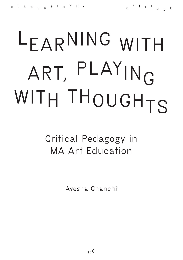## **LEARNING WITH ART, PLAYING WITH THOUGHTS**

**Critical Pedagogy in MA Art Education**

**Ayesha Ghanchi**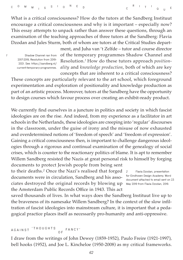What is a critical consciousness? How do the tutors at the Sandberg Instituut encourage a critical consciousness and why is it important – especially now? This essay attempts to unpack rather than answer these questions, through an examination of the teaching approaches of three tutors at the Sandberg: Flavia Dzodan and Jules Sturm, both of whom are tutors at the Critical Studies depart-

*1* **Shadow Channel ran from 2017-2019, Resolution from 2019- 2021. [See: https://sandberg.nl/](See: https://sandberg.nl/current-temporary-programmes) [current-temporary-programmes.](See: https://sandberg.nl/current-temporary-programmes)** ment, and Juha van 't Zelfde – tutor and course director of the temporary programmes Shadow Channel and Resolution.*<sup>1</sup>* How do these tutors approach *positionality* and *knowledge production*, both of which are key concepts that are inherent to a critical consciousness?

**<sup>R</sup> <sup>I</sup> <sup>T</sup> <sup>I</sup>**

**<sup>Q</sup> <sup>U</sup> <sup>E</sup>**

These concepts are particularly relevant to the art school, which foreground experimentation and exploration of positionality and knowledge production as part of an artistic process. Moreover, tutors at the Sandberg have the opportunity to design courses which favour process over creating an exhibit-ready product.

We currently find ourselves in a juncture in politics and society in which fascist ideologies are on the rise. And indeed, from my experience as a facilitator in art schools in the Netherlands, these ideologies are creeping into 'regular' discourses in the classroom, under the guise of irony and the misuse of now exhausted and overdetermined notions of 'freedom of speech' and 'freedom of expression'. Gaining a critical consciousness then, is important to challenge dangerous ideologies through a rigorous and continual examination of the genealogy of social crises, which is counter to the reactionary politics of blame. It is apt to remember Willem Sandberg resisted the Nazis at great personal risk to himself by forging documents to protect Jewish people from being sent

to their deaths.*<sup>2</sup>* Once the Nazi's realised that forged documents were in circulation, Sandberg and his associates destroyed the original records by blowing up the Amsterdam Public Records Office in 1943. This act

*2* **Flavia Dzodan, presentation for Eindhoven Design Academy. Word document attached to email sent on 23 May 2019 from Flavia Dzodan, 2019.**

saved thousands of lives. In what ways does the Sandberg Instituut live up to the braveness of its namesake Willem Sandberg? In the context of the slow infiltration of fascist ideologies into mainstream culture, it is important that a pedagogical practice places itself as necessarily pro-humanity and anti-oppressive.

## **AGAINST 'THOUGHTS O F FANCY'**

I draw from the writings of John Dewey (1859-1952), Paulo Freire (1921-1997), bell hooks (1952), and Joe L. Kincheloe (1950-2008) as my critical frameworks.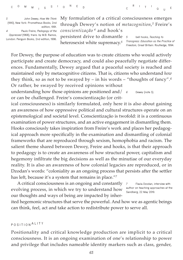*3* **John Dewey,** *How We Think* **(1910), New York: Prometheus Books, 2nd edition, 1991.** *4* **Paulo Freire,** *Pedagogy of the Oppressed* **(1968), trans. by M.B. Ramos,** 

**London: Penguin Books, 2nd edition, 1996.**

My formulation of a critical consciousness emerges through Dewey's notion of *metacognition*,*<sup>3</sup>* Freire's *conscientização <sup>4</sup>* and hook's persistent drive to dismantle heterosexist white supremacy.*<sup>5</sup> Transgress: Education as the Practice of 5* **bell hooks,** *Teaching to Freedom***, Great Britain: Routledge, 1994.**

**<sup>R</sup> <sup>I</sup> <sup>T</sup> <sup>I</sup>**

**<sup>Q</sup> <sup>U</sup> <sup>E</sup>**

For Dewey, the purpose of education was to create citizens who would actively participate and create democracy, and could also peacefully negotiate differences. Fundamentally, Dewey argued that a peaceful society is reached and maintained only by metacognitive citizens. That is, citizens who understand *how* they think, so as not to be swayed by – in his words – "thoughts of fancy".*<sup>6</sup>* Or rather, be swayed by received opinions without

understanding how those opinions are positioned and  $\frac{1}{6}$ or can be challenged. Freire's conscientização (or crit-*6* **Dewey (note 3).**

ical consciousness) is similarly formulated, only here it is also about gaining an awareness of how oppressive political and cultural structures operate on an epistemological and societal level. Conscientização is twofold: it is a continuous examination of power structures, and an active engagement in dismantling them. Hooks consciously takes inspiration from Freire's work and places her pedagogical approach more specifically in the examination and dismantling of colonial frameworks that are reproduced through sexism, homophobia and racism. The salient theme shared between Dewey, Freire and hooks, is that their approach to pedagogy is to create an awareness of how structural power, capitalism and hegemony infiltrate the big decisions as well as the minutiae of our everyday reality. It is also an awareness of how colonial legacies are reproduced, or in Dzodan's words: "coloniality as an ongoing process that persists after the settler has left, because it's a system that remains in place."*<sup>7</sup>*

A critical consciousness is an ongoing and constantly evolving process, in which we try to understand how our thoughts and ways of being are impacted by inher-

*7* **Flavia Dzodan, interview with author on teaching approaches at the Sandberg, 22 May 2019.**

ited hegemonic structures that serve the powerful. And how we as agentic beings can think, feel, act and take action to redistribute power to serve all.

## **POSITION ALITY**

Positionality and critical knowledge production are implicit to a critical consciousness. It is an ongoing examination of one's relationship to power and privilege that includes nameable identity markers such as class, gender,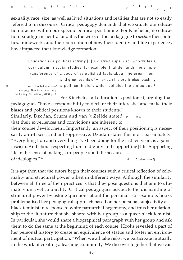sexuality, race, size, as well as lived situations and realities that are not so easily referred to in discourse. Critical pedagogy demands that we situate our education practice within our specific political positioning. For Kincheloe, no education paradigm is neutral and it is the work of the pedagogue to *declare* their politics, frameworks and their perception of how their identity and life experiences have impacted their knowledge formation:

> **Education is a political activity […] A district supervisor who writes a curriculum in social studies, for example, that demands the simple transference of a body of established facts about the great men**

> > **and great events of American history is also teaching**

*Pedagogy***, New York: Peter Lang Publishing, 2nd edition, 2008, p. 9.**

**a political history which upholds the status quo.***<sup>8</sup> 8* **Joe L. Kincheloe,** *Critical* 

For Kincheloe, all education is positioned, arguing that pedagogues "have a responsibility to declare their interests" and make their biases and political positions known to their students.*<sup>9</sup>*

Similarly, Dzodan, Sturm and van 't Zelfde stated that their experiences and convictions are inherent to *9* **Ibid.**

their course development. Importantly, an aspect of their positioning is necessarily anti-fascist and anti-oppressive. Dzodan states this most passionately: "Everything I do and everything I've been doing for the last ten years is against fascism. And about respecting human dignity and support[ing] life. Supporting life in the sense of making sure people don't die because of ideologies."*<sup>10</sup> 10* **Dzodan (note 7).**

It is apt then that the tutors begin their courses with a critical reflection of coloniality and structural power, albeit in different ways. Although the similarity between all three of their practices is that they pose questions that aim to ultimately unravel coloniality. Critical pedagogues advocate the dismantling of structural power by asking questions about the personal. For example, hooks problematised her pedagogical approach based on her personal subjectivity as a black feminist in response to white patriarchal hegemony, and thus her relationship to the literature that she shared with her group as a queer black feminist. In particular, she would share a biographical paragraph with her group and ask them to do the same at the beginning of each course. Hooks revealed a part of her personal history to create an equivalence of status and foster an environment of mutual participation: "When we all take risks; we participate mutually in the work of creating a learning community. We discover together that we can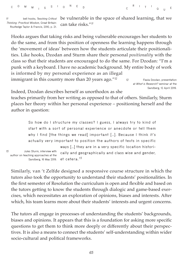*11* **bell hooks,** *Teaching Critical Thinking: Practical Wisdom***, Great Britain: Routledge Taylor & Francis, 2010, p. 21.**

be vulnerable in the space of shared learning, that we can take risks."*<sup>11</sup>*

**<sup>R</sup> <sup>I</sup> <sup>T</sup> <sup>I</sup>**

Hooks argues that taking risks and being vulnerable encourages her students to do the same, and from this position of openness the learning happens through the 'movement of ideas' between how the students articulate their positionalities. Like hooks, Dzodan and Sturm share their personal *positionality* with the class so that their students are encouraged to do the same. For Dzodan: "I'm a punk with a keyboard. I have no academic background. My entire body of work is informed by my personal experience as an illegal immigrant in this country more than 20 years ago."*<sup>12</sup> 12* **Flavia Dzodan, presentation** 

**at** *What is Research?* **seminar at the Sandberg, 12 April 2019.**

**<sup>Q</sup> <sup>U</sup> <sup>E</sup>**

Indeed, Dzodan describes herself as unorthodox as she

teaches primarily from her writing as opposed to that of others. Similarly, Sturm places her theory within her personal experience – positioning herself and the author in question:

|    | So how do I structure my classes? I guess, I always try to kind of                                                         |  |  |  |  |  |  |  |  |  |  |  |
|----|----------------------------------------------------------------------------------------------------------------------------|--|--|--|--|--|--|--|--|--|--|--|
|    | start with a sort of personal experience or anecdote or tell them                                                          |  |  |  |  |  |  |  |  |  |  |  |
|    | why I find [the things we read] important []. Because I think it's                                                         |  |  |  |  |  |  |  |  |  |  |  |
|    | actually very important to position the authors of texts in specific                                                       |  |  |  |  |  |  |  |  |  |  |  |
|    | ways [] they are in a very specific location histori-                                                                      |  |  |  |  |  |  |  |  |  |  |  |
| 13 | Jules Sturm, interview with<br>cally and geographically and class wise and gender,<br>author on teaching approaches at the |  |  |  |  |  |  |  |  |  |  |  |
|    | et cetera. <sup>13</sup><br>Sandberg, 16 May 2019.                                                                         |  |  |  |  |  |  |  |  |  |  |  |

Similarly, van 't Zelfde designed a responsive course structure in which the tutors also took the opportunity to understand their students' positionalities. In the first semester of Resolution the curriculum is open and flexible and based on the tutors getting to know the students through dialogic and game-based exercises, which necessitates an exploration of opinions, biases and interests. After which, his team learns more about their students' interests and urgent concerns.

The tutors all engage in processes of understanding the students' backgrounds, biases and opinions. It appears that this is a foundation for asking more specific questions to get them to think more deeply or differently about their perspectives. It is also a means to connect the students' self-understanding within wider socio-cultural and political frameworks.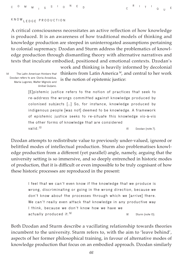|  |  |  |  |  |  |  |  |  | C <sup>O</sup> M <sub>M I</sub> S <sup>S</sup> I O <sup>N</sup> E <sub>D</sub> |  |  |  |  |  |
|--|--|--|--|--|--|--|--|--|--------------------------------------------------------------------------------|--|--|--|--|--|
|--|--|--|--|--|--|--|--|--|--------------------------------------------------------------------------------|--|--|--|--|--|

## **KNOW LEDGE PRODUCTION**

A critical consciousness necessitates an active reflection of how knowledge is produced. It is an awareness of how traditional models of thinking and knowledge production are steeped in uninterrogated assumptions pertaining to colonial supremacy. Dzodan and Sturm address the problematics of knowledge production through dismantling theory with alternative narratives and texts that inculcate embodied, positioned and emotional contexts. Dzodan's

> work and thinking is heavily informed by decolonial thinkers from Latin America *<sup>14</sup>*, and central to her work is the notion of epistemic justice:

*14* **The Latin American thinkers that Dzodan refers to are: Gloria Anzaldua, Maria Lugones, Walter Mignolo and** 

**Anibal Quijano.**

**[E]pistemic justice refers to the notion of practices that seek to re-address the wrongs committed against knowledge produced by colonised subjects […] So, for instance, knowledge produced by indigenous people [was not] deemed to be knowledge. A framework of epistemic justice seeks to re-situate this knowledge vis-à-vis the other forms of knowledge that are considered valid.***<sup>15</sup> 15* **Dzodan (note 7).**

Dzodan attempts to redistribute value to previously under-valued, ignored or belittled modes of intellectual production. Sturm also problematises knowledge production from a different (yet parallel) angle, namely, arguing that the university setting is so immersive, and so deeply entrenched in historic modes of production, that it is difficult or even impossible to be truly cognisant of how these historic processes are reproduced in the present:

> **I feel that we can't even know if the knowledge that we produce is wrong, discriminating or going in the wrong direction, because we don't know about the processes through which we [arrive] there. We can't really even attack that knowledge in any productive way I think, because we don't know how we have we actually produced it.***<sup>16</sup> 16* **Sturm (note 13).**

Both Dzodan and Sturm describe a vacillating relationship towards theories incumbent to the university. Sturm refers to, with the aim to 'leave behind', aspects of her former philosophical training, in favour of alternative modes of knowledge production that focus on an embodied approach. Dzodan similarly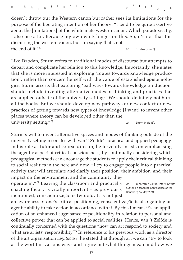doesn't throw out the Western canon but rather sees its limitations for the purpose of the liberating intention of her theory: "I tend to be quite assertive about the [limitations] of the white male western canon. Which paradoxically, I also use a lot. Because my own work hinges on this. So, it's not that I'm dismissing the western canon, but I'm saying that's not the end of it."*<sup>17</sup> 17* **Dzodan (note 7).**

Like Dzodan, Sturm refers to traditional modes of discourse but attempts to depart and complicate her relation to this knowledge. Importantly, she states that she is more interested in exploring 'routes towards knowledge production', rather than concern herself with the value of established epistemologies. Sturm asserts that exploring 'pathways towards knowledge production' should include inventing alternative modes of thinking and practices that are applied outside of the university setting: "We should definitely not burn all the books. But we should develop new pathways or new context or new practices of getting towards new types of knowledge [I want] to invent other places where theory can be developed other than the university setting."*<sup>18</sup> 18* **Sturm (note 13).**

Sturm's will to invent alternative spaces and modes of thinking outside of the university setting resonates with van 't Zelfde's practical and applied pedagogy. In his role as tutor and course director, he fervently insists on emphasising the agentic aspect of critical consciousness, by continually considering which pedagogical methods can encourage the students to apply their critical thinking to social realities in the here and now. "I try to engage people into a practical activity that will articulate and clarify their position, their ambition, and their impact on the environment and the community they

operate in."*<sup>19</sup>* Leaving the classroom and practically enacting theory is vitally important – as previously mentioned, conscientização is twofold. It is not just

*19* **Juha van 't Zelfde, interview with author on teaching approaches at the Sandberg, 15 May 2019.**

an awareness of one's critical positioning, conscientização is also gaining an agentic ability to take action in accordance with it. By this I mean, it's an application of an enhanced cognisance of positionality in relation to personal and collective power that can be applied to social realities. Hence, van 't Zelfde is continually concerned with the questions "how can art respond to society and what are artists' responsibility"? In reference to his previous work as a director of the art organisation *Lighthouse*, he stated that through art we can "try to look at the world in various ways and figure out what things mean and how we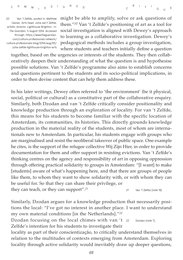*20* **Van 't Zelfde, quoted in: Matthew Caines, 'Arts head: Juha van't Zelfde, artistic director, Lighthouse Brighton', in:**  *The Guardian***, 5 August 2014. Accessed through: [https://www.theguardian.](https://www.theguardian.com/culture-professionals-network/culture-professionals-blog/2014/aug/05/juha-zelfde-lighthouse-brighton-arts) [com/culture-professionals-network/](https://www.theguardian.com/culture-professionals-network/culture-professionals-blog/2014/aug/05/juha-zelfde-lighthouse-brighton-arts) [culture-professionals-blog/2014/aug/05/](https://www.theguardian.com/culture-professionals-network/culture-professionals-blog/2014/aug/05/juha-zelfde-lighthouse-brighton-arts) [juha-zelfde-lighthouse-brighton-arts](https://www.theguardian.com/culture-professionals-network/culture-professionals-blog/2014/aug/05/juha-zelfde-lighthouse-brighton-arts)**

might be able to amplify, solve or ask questions of them."*<sup>20</sup>* Van 't Zelfde's positioning of art as a tool for social investigation is aligned with Dewey's approach to learning as a collaborative investigation. Dewey's pedagogical methods includes a group investigation, where students and teachers initially define a question

together, based on the urgencies or interests of the students. They then collaboratively deepen their understanding of what the question is and hypothesise possible solutions. Van 't Zelfde's programme also aims to establish concerns and questions pertinent to the students and its socio-political implications, in order to then devise content that can help them address these.

In his later writings, Dewey often referred to 'the environment' (be it physical, social, political or cultural) as a constitutive part of the collaborative enquiry. Similarly, both Dzodan and van 't Zelfde critically consider positionality and knowledge production through an exploration of locality. For van 't Zelfde, this means for his students to become familiar with the specific location of Amsterdam, its communities, its histories. This directly grounds knowledge production in the material reality of the students, most of whom are internationals new to Amsterdam. In particular, his students engage with groups who are marginalised and resist the neoliberal takeover of public space. One example he cites, is the support of the refugee collective Wij Zijn Hier, in order to provide documentation for them and offer support in resisting evictions. Van 't Zelfde's thinking centres on the agency and responsibility of art in opposing oppression through offering practical solidarity to groups in Amsterdam: "[I want] to make [students] aware of what's happening here, and that there are groups of people like them, to whom they want to show solidarity with, or with whom they can be useful for. So that they can share their privilege, or they can teach, or they can support".*<sup>21</sup> 21* **Van 't Zelfde (note 19).**

Similarly, Dzodan argues for a knowledge production that necessarily positions the local: "I've got no interest in another place. I want to understand my own material conditions [in the Netherlands]."*<sup>22</sup>*

Dzodan focusing on the local chimes with van 't 22 Zelfde's intention for his students to investigate their *22* **Dzodan (note 7).**

locality as part of their conscientização, to critically understand themselves in relation to the multitudes of contexts emerging from Amsterdam. Exploring locality through active solidarity would inevitably draw up deeper questions,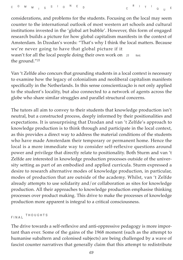considerations, and problems for the students. Focusing on the local may seem counter to the international outlook of most western art schools and cultural institutions invested in the 'global art bubble'. However, this form of engaged research builds a picture for how global capitalism manifests in the context of Amsterdam. In Dzodan's words: "That's why I think the local matters. Because we're never going to have that global picture if it wasn't for all the local people doing their own work on 23 the ground."*<sup>23</sup> 23* **Ibid.**

Van 't Zelfde also concurs that grounding students in a local context is necessary to examine how the legacy of colonialism and neoliberal capitalism manifests specifically in the Netherlands. In this sense conscientização is not only applied to the student's locality, but also connected to a network of agents across the globe who share similar struggles and parallel structural concerns.

The tutors all aim to convey to their students that knowledge production isn't neutral, but a constructed process, deeply informed by their positionalities and expectations. It is unsurprising that Dzodan and van 't Zelfde's approach to knowledge production is to think through and participate in the local context, as this provides a direct way to address the material conditions of the students who have made Amsterdam their temporary or permanent home. Hence the local is a more immediate way to consider self-reflexive questions around power and privilege that directly relate to positionality. Both Sturm and van 't Zelfde are interested in knowledge production processes outside of the university setting as part of an embodied and applied curricula. Sturm expressed a desire to research alternative modes of knowledge production, in particular, modes of production that are outside of the academy. Whilst, van 't Zelfde already attempts to use solidarity and/or collaboration as sites for knowledge production. All their approaches to knowledge production emphasise thinking processes over product making. This drive to make the processes of knowledge production more apparent is integral to a critical consciousness.

**FINAL THOUGHTS**

The drive towards a self-reflexive and anti-oppressive pedagogy is more important than ever. Some of the gains of the 1968 moment (such as the attempt to humanise subaltern and colonised subjects) are being challenged by a wave of fascist counter narratives that generally claim that this attempt to redistribute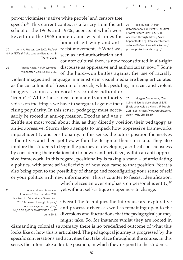**<sup>C</sup> <sup>O</sup> <sup>M</sup> <sup>M</sup> <sup>I</sup> <sup>S</sup> <sup>S</sup> <sup>I</sup> <sup>O</sup> <sup>N</sup> <sup>E</sup> <sup>D</sup>         <sup>C</sup>**

power victimises 'native white people' and censors free speech.*<sup>24</sup>* This current context is a far cry from the art school of the 1960s and 1970s, aspects of which were keyed into the 1968 moment, and was at times the

home of left-wing and anti-25 John A. Walker, *Left Shift: Radical* **Pacist movements.<sup>25</sup> What was** [post-organisational-far-right/](https://www.hopenothate.org.uk/research/state-of-hate-2018/online-radicalisation/post-organisational). seen as anti-authoritarian and

*24* **Joe Mulhall, 'A Post-Organisational Far Right?', in:** *State of Hate Report 2018***, pp. 10-11. Accessed through: [https://www.](https://www.hopenothate.org.uk/research/state-of-hate-2018/online-radicalisation/post-organisational) [hopenothate.org.uk/research/state](https://www.hopenothate.org.uk/research/state-of-hate-2018/online-radicalisation/post-organisational)[of-hate-2018/online-radicalisation/](https://www.hopenothate.org.uk/research/state-of-hate-2018/online-radicalisation/post-organisational)**

**<sup>Q</sup> <sup>U</sup> <sup>E</sup>**

**<sup>R</sup> <sup>I</sup> <sup>T</sup> <sup>I</sup>**

*Art in 1970s Britain***, London/New York: I B Tauris, 2002.**

*26* **Angela Nagle,** *Kill All Normies,* **Winchester: Zero Books, 2017.**

counter cultural then, is now reconstituted in alt-right discourse as oppressive and authoritarian now.*<sup>26</sup>* Some of the hard-won battles against the use of racially

violent images and language in mainstream visual media are being articulated as the curtailment of freedom of speech, whilst peddling in racist and violent imagery is spun as provocative, counter-cultural or

'ironic'.*<sup>27</sup>* While these ideas emanate from minority voices on the fringe, we have to safeguard against their rising popularity. In this sense, pedagogy must necessarily be rooted in anti-oppression. Dzodan and van t'

*27* **Morgan Quaintance, 'Our Cultic Milieu' lecture given at BAK (Basis voor Actuele Kunst), 17 March 2018. See: [https://www.youtube.com/](https://www.youtube.com/watch?v=RGGHt-8tx8U) [watch?v=RGGHt-8tx8U.](https://www.youtube.com/watch?v=RGGHt-8tx8U)**

Zelfde are most vocal about this, as they directly position their pedagogy as anti-oppressive. Sturm also attempts to unpack how oppressive frameworks impact identity and positionality. In this sense, the tutors position themselves – their lives and their politics, within the design of their curricula. They also implore the students to begin the journey of developing a critical consciousness by considering their relationship to power and privilege, within an anti-oppressive framework. In this regard, positionality is taking a stand – of articulating a politics, with some self-reflexivity of how you came to that position. Yet it is also being open to the possibility of change and reconfiguring your sense of self or your politics with new information. This is counter to fascist identification,

*28* **Thomas Fallace, 'American Educators' Confrontation With Fascism' in:** *Educational Researcher***, 2017. Accessed through[: https://]( https://journals.sagepub.com/doi/full/10.3102/0013189X17743726) [journals.sagepub.com/doi/]( https://journals.sagepub.com/doi/full/10.3102/0013189X17743726) [full/10.3102/0013189X17743726]( https://journals.sagepub.com/doi/full/10.3102/0013189X17743726) on 27 June 2019.**

which places an over emphasis on personal identity,*<sup>28</sup>* yet without self-critique or openness to change.

Overall the techniques the tutors use are explorative and process-driven, as well as remaining open to the diversions and fluctuations that the pedagogical journey might take. So, for instance whilst they are rooted in

dismantling colonial supremacy there is no predefined outcome of what this looks like or how this is articulated. The pedagogical journey is progressed by the specific conversations and activities that take place throughout the course. In this sense, the tutors take a flexible position, in which they respond to the students.

*70*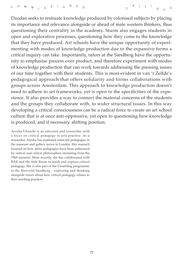Dzodan seeks to resituate knowledge produced by colonised subjects by placing its importance and relevance alongside or ahead of male western thinkers, thus questioning their centrality in the academy. Sturm also engages students in open and explorative processes, questioning how they come to the knowledge that they have produced. Art schools have the unique opportunity of experimenting with modes of knowledge production due to the expansive forms a critical inquiry can take. Importantly, tutors at the Sandberg have the opportunity to emphasise process over product, and therefore experiment with modes of knowledge production that can work towards addressing the pressing issues of our time together with their students. This is most evident in van 't Zelfde's pedagogical approach that offers solidarity and forms collaborations with groups across Amsterdam. This approach to knowledge production doesn't need to adhere to set frameworks, yet is open to the specificities of the experience. It also provides a way to connect the material concerns of the students and the groups they collaborate with, to wider structural issues. In this way developing a critical consciousness can be a radical force to create an art school culture that is at once anti-oppressive, yet open to questioning how knowledge is produced, and if necessary, shifting position.

Ayesha Ghanchi is an educator and researcher with a focus on critical pedagogy in arts practice. As a researcher, Ayesha has examined artist-led pedagogies in the museum and gallery sector in London. Her research focused on how artist pedagogies have been influenced by radical and critical philosophies stemming from the 1968 moment. More recently she has collaborated with BAK and the Side Room to teach and explore critical pedagogy. She is also part of the Unsettling programme at the Rietveld/Sandberg – exploring and thinking alongside tutors about how critical pedagogy relates to their teaching practices.